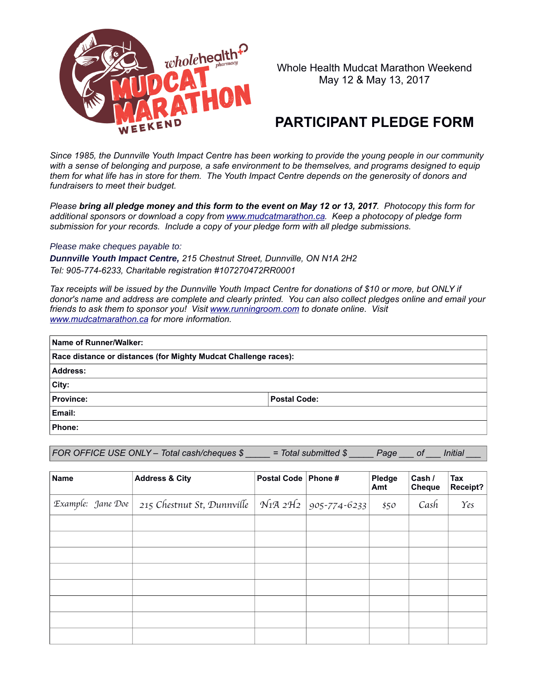

Whole Health Mudcat Marathon Weekend May 12 & May 13, 2017

## **PARTICIPANT PLEDGE FORM**

*Since 1985, the Dunnville Youth Impact Centre has been working to provide the young people in our community with a sense of belonging and purpose, a safe environment to be themselves, and programs designed to equip them for what life has in store for them. The Youth Impact Centre depends on the generosity of donors and fundraisers to meet their budget.*

*Please bring all pledge money and this form to the event on May 12 or 13, 2017. Photocopy this form for additional sponsors or download a copy from [www.mudcatmarathon.ca.](http://www.mudcatmarathon.ca/) Keep a photocopy of pledge form submission for your records. Include a copy of your pledge form with all pledge submissions.*

*Please make cheques payable to:*

*Dunnville Youth Impact Centre, 215 Chestnut Street, Dunnville, ON N1A 2H2 Tel: 905-774-6233, Charitable registration #107270472RR0001*

*Tax receipts will be issued by the Dunnville Youth Impact Centre for donations of \$10 or more, but ONLY if donor's name and address are complete and clearly printed. You can also collect pledges online and email your friends to ask them to sponsor you! Visit [www.runningroom.com](http://www.runningroom.com/) to donate online. Visit [www.mudcatmarathon.ca](http://www.mudcatmarathon.ca/) for more information.*

| Name of Runner/Walker:                                          |                     |  |  |  |  |
|-----------------------------------------------------------------|---------------------|--|--|--|--|
| Race distance or distances (for Mighty Mudcat Challenge races): |                     |  |  |  |  |
| Address:                                                        |                     |  |  |  |  |
| ∣City:                                                          |                     |  |  |  |  |
| <b>Province:</b>                                                | <b>Postal Code:</b> |  |  |  |  |
| Email:                                                          |                     |  |  |  |  |
| Phone:                                                          |                     |  |  |  |  |

*FOR OFFICE USE ONLY – Total cash/cheques \$ \_\_\_\_ = Total submitted \$ Page \_\_\_ of \_\_\_ Initial formation* 

| <b>Name</b>       | <b>Address &amp; City</b>  | Postal Code   Phone # |                      | Pledge<br>Amt | Cash /<br>Cheque | Tax<br>Receipt? |
|-------------------|----------------------------|-----------------------|----------------------|---------------|------------------|-----------------|
| Example: Jane Doe | 215 Chestnut St, Dunnville |                       | NiA 2H2 905-774-6233 | \$50          | Cash             | $\gamma_{es}$   |
|                   |                            |                       |                      |               |                  |                 |
|                   |                            |                       |                      |               |                  |                 |
|                   |                            |                       |                      |               |                  |                 |
|                   |                            |                       |                      |               |                  |                 |
|                   |                            |                       |                      |               |                  |                 |
|                   |                            |                       |                      |               |                  |                 |
|                   |                            |                       |                      |               |                  |                 |
|                   |                            |                       |                      |               |                  |                 |